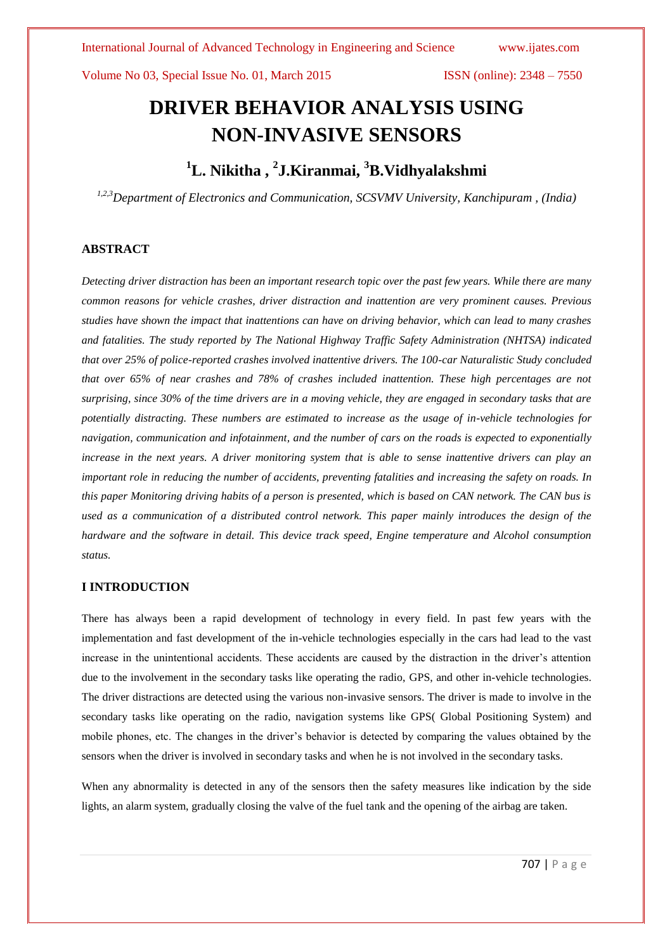# **DRIVER BEHAVIOR ANALYSIS USING NON-INVASIVE SENSORS**

# **<sup>1</sup>L. Nikitha , <sup>2</sup> J.Kiranmai, <sup>3</sup>B.Vidhyalakshmi**

*1,2,3Department of Electronics and Communication, SCSVMV University, Kanchipuram , (India)*

# **ABSTRACT**

*Detecting driver distraction has been an important research topic over the past few years. While there are many common reasons for vehicle crashes, driver distraction and inattention are very prominent causes. Previous studies have shown the impact that inattentions can have on driving behavior, which can lead to many crashes and fatalities. The study reported by The National Highway Traffic Safety Administration (NHTSA) indicated that over 25% of police-reported crashes involved inattentive drivers. The 100-car Naturalistic Study concluded that over 65% of near crashes and 78% of crashes included inattention. These high percentages are not surprising, since 30% of the time drivers are in a moving vehicle, they are engaged in secondary tasks that are potentially distracting. These numbers are estimated to increase as the usage of in-vehicle technologies for navigation, communication and infotainment, and the number of cars on the roads is expected to exponentially increase in the next years. A driver monitoring system that is able to sense inattentive drivers can play an important role in reducing the number of accidents, preventing fatalities and increasing the safety on roads. In this paper Monitoring driving habits of a person is presented, which is based on CAN network. The CAN bus is used as a communication of a distributed control network. This paper mainly introduces the design of the hardware and the software in detail. This device track speed, Engine temperature and Alcohol consumption status.*

### **I INTRODUCTION**

There has always been a rapid development of technology in every field. In past few years with the implementation and fast development of the in-vehicle technologies especially in the cars had lead to the vast increase in the unintentional accidents. These accidents are caused by the distraction in the driver's attention due to the involvement in the secondary tasks like operating the radio, GPS, and other in-vehicle technologies. The driver distractions are detected using the various non-invasive sensors. The driver is made to involve in the secondary tasks like operating on the radio, navigation systems like GPS( Global Positioning System) and mobile phones, etc. The changes in the driver's behavior is detected by comparing the values obtained by the sensors when the driver is involved in secondary tasks and when he is not involved in the secondary tasks.

When any abnormality is detected in any of the sensors then the safety measures like indication by the side lights, an alarm system, gradually closing the valve of the fuel tank and the opening of the airbag are taken.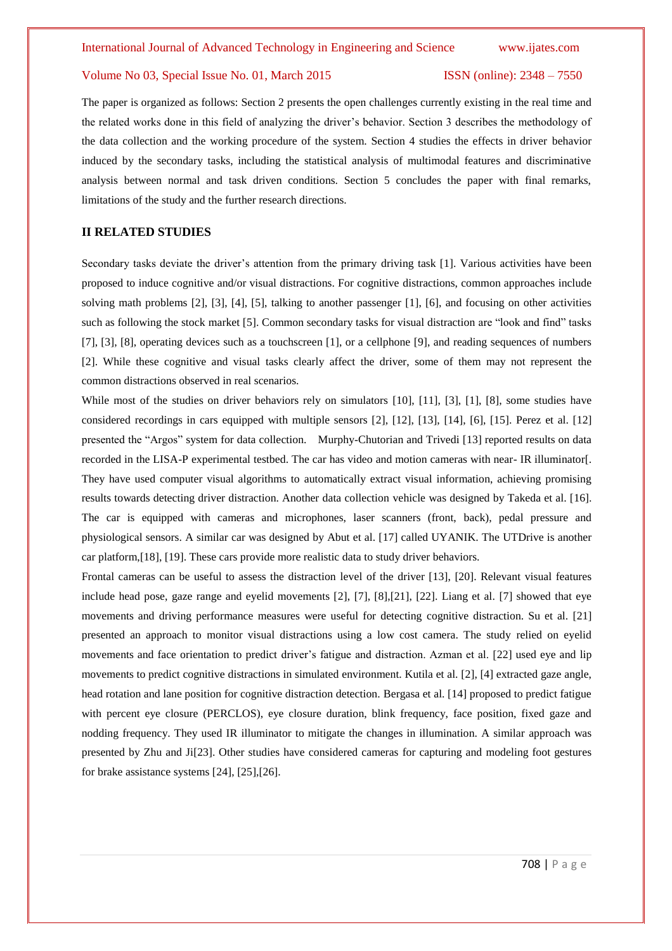The paper is organized as follows: Section 2 presents the open challenges currently existing in the real time and the related works done in this field of analyzing the driver's behavior. Section 3 describes the methodology of the data collection and the working procedure of the system. Section 4 studies the effects in driver behavior induced by the secondary tasks, including the statistical analysis of multimodal features and discriminative analysis between normal and task driven conditions. Section 5 concludes the paper with final remarks, limitations of the study and the further research directions.

# **II RELATED STUDIES**

Secondary tasks deviate the driver's attention from the primary driving task [1]. Various activities have been proposed to induce cognitive and/or visual distractions. For cognitive distractions, common approaches include solving math problems [2], [3], [4], [5], talking to another passenger [1], [6], and focusing on other activities such as following the stock market [5]. Common secondary tasks for visual distraction are "look and find" tasks [7], [3], [8], operating devices such as a touchscreen [1], or a cellphone [9], and reading sequences of numbers [2]. While these cognitive and visual tasks clearly affect the driver, some of them may not represent the common distractions observed in real scenarios.

While most of the studies on driver behaviors rely on simulators [10], [11], [3], [1], [8], some studies have considered recordings in cars equipped with multiple sensors [2], [12], [13], [14], [6], [15]. Perez et al. [12] presented the "Argos" system for data collection. Murphy-Chutorian and Trivedi [13] reported results on data recorded in the LISA-P experimental testbed. The car has video and motion cameras with near- IR illuminator[. They have used computer visual algorithms to automatically extract visual information, achieving promising results towards detecting driver distraction. Another data collection vehicle was designed by Takeda et al. [16]. The car is equipped with cameras and microphones, laser scanners (front, back), pedal pressure and physiological sensors. A similar car was designed by Abut et al. [17] called UYANIK. The UTDrive is another car platform,[18], [19]. These cars provide more realistic data to study driver behaviors.

Frontal cameras can be useful to assess the distraction level of the driver [13], [20]. Relevant visual features include head pose, gaze range and eyelid movements [2], [7], [8],[21], [22]. Liang et al. [7] showed that eye movements and driving performance measures were useful for detecting cognitive distraction. Su et al. [21] presented an approach to monitor visual distractions using a low cost camera. The study relied on eyelid movements and face orientation to predict driver's fatigue and distraction. Azman et al. [22] used eye and lip movements to predict cognitive distractions in simulated environment. Kutila et al. [2], [4] extracted gaze angle, head rotation and lane position for cognitive distraction detection. Bergasa et al. [14] proposed to predict fatigue with percent eye closure (PERCLOS), eye closure duration, blink frequency, face position, fixed gaze and nodding frequency. They used IR illuminator to mitigate the changes in illumination. A similar approach was presented by Zhu and Ji[23]. Other studies have considered cameras for capturing and modeling foot gestures for brake assistance systems [24], [25],[26].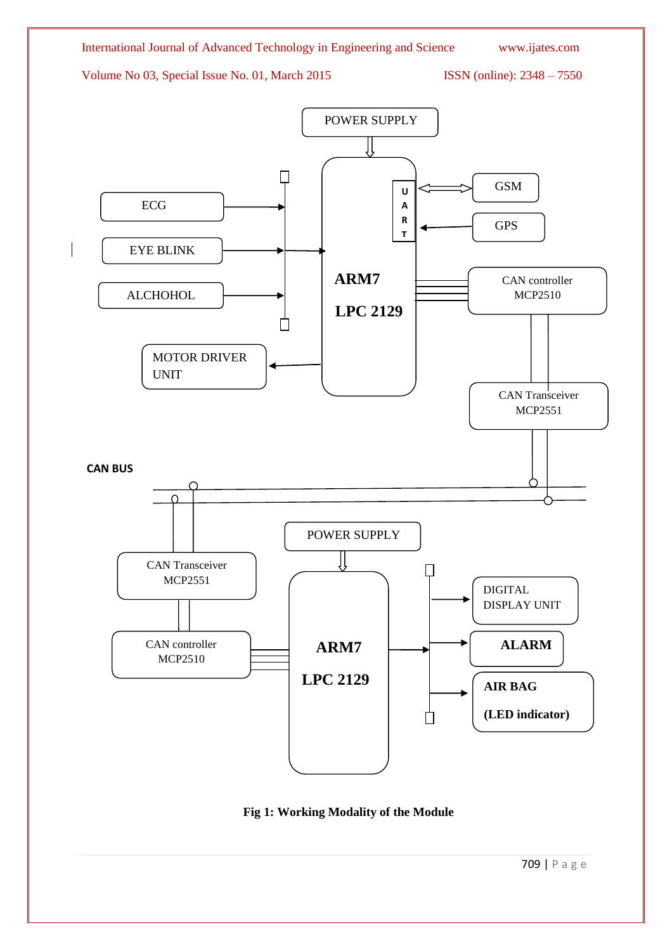

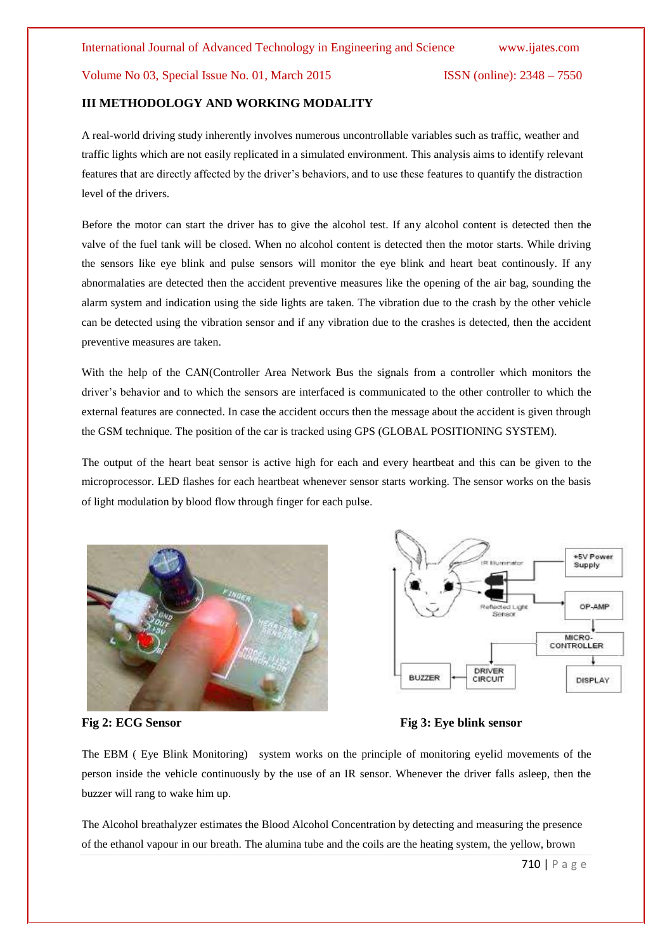# **III METHODOLOGY AND WORKING MODALITY**

A real-world driving study inherently involves numerous uncontrollable variables such as traffic, weather and traffic lights which are not easily replicated in a simulated environment. This analysis aims to identify relevant features that are directly affected by the driver's behaviors, and to use these features to quantify the distraction level of the drivers.

Before the motor can start the driver has to give the alcohol test. If any alcohol content is detected then the valve of the fuel tank will be closed. When no alcohol content is detected then the motor starts. While driving the sensors like eye blink and pulse sensors will monitor the eye blink and heart beat continously. If any abnormalaties are detected then the accident preventive measures like the opening of the air bag, sounding the alarm system and indication using the side lights are taken. The vibration due to the crash by the other vehicle can be detected using the vibration sensor and if any vibration due to the crashes is detected, then the accident preventive measures are taken.

With the help of the CAN(Controller Area Network Bus the signals from a controller which monitors the driver's behavior and to which the sensors are interfaced is communicated to the other controller to which the external features are connected. In case the accident occurs then the message about the accident is given through the GSM technique. The position of the car is tracked using GPS (GLOBAL POSITIONING SYSTEM).

The output of the heart beat sensor is active high for each and every heartbeat and this can be given to the microprocessor. LED flashes for each heartbeat whenever sensor starts working. The sensor works on the basis of light modulation by blood flow through finger for each pulse.





**Fig 2: ECG Sensor Fig 3: Eve blink sensor** 

The EBM ( Eye Blink Monitoring) system works on the principle of monitoring eyelid movements of the person inside the vehicle continuously by the use of an IR sensor. Whenever the driver falls asleep, then the buzzer will rang to wake him up.

The Alcohol breathalyzer estimates the Blood Alcohol Concentration by detecting and measuring the presence of the ethanol vapour in our breath. The alumina tube and the coils are the heating system, the yellow, brown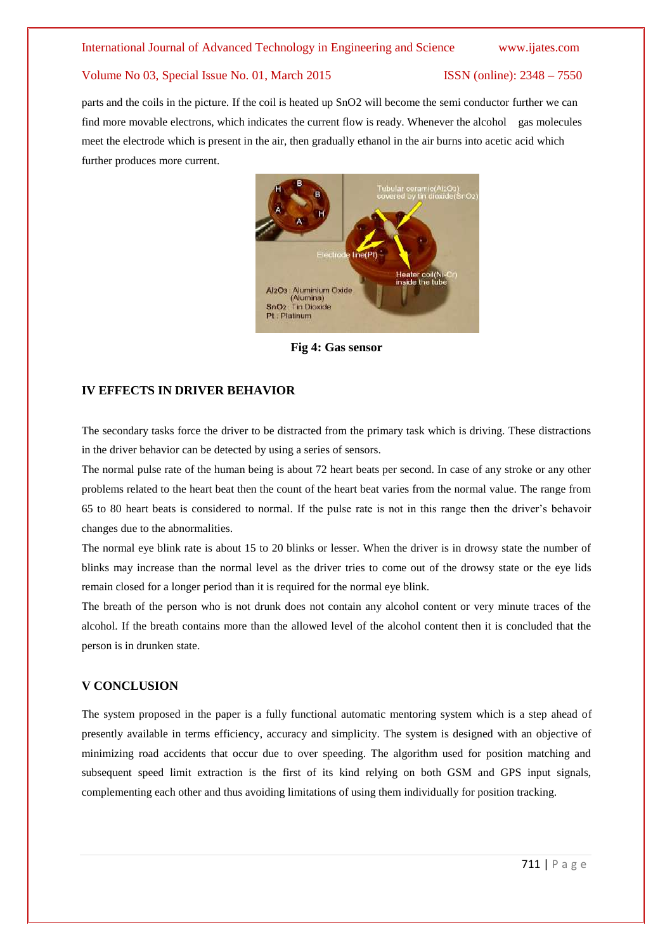parts and the coils in the picture. If the coil is heated up SnO2 will become the semi conductor further we can find more movable electrons, which indicates the current flow is ready. Whenever the alcohol gas molecules meet the electrode which is present in the air, then gradually ethanol in the air burns into acetic acid which further produces more current.



**Fig 4: Gas sensor**

# **IV EFFECTS IN DRIVER BEHAVIOR**

The secondary tasks force the driver to be distracted from the primary task which is driving. These distractions in the driver behavior can be detected by using a series of sensors.

The normal pulse rate of the human being is about 72 heart beats per second. In case of any stroke or any other problems related to the heart beat then the count of the heart beat varies from the normal value. The range from 65 to 80 heart beats is considered to normal. If the pulse rate is not in this range then the driver's behavoir changes due to the abnormalities.

The normal eye blink rate is about 15 to 20 blinks or lesser. When the driver is in drowsy state the number of blinks may increase than the normal level as the driver tries to come out of the drowsy state or the eye lids remain closed for a longer period than it is required for the normal eye blink.

The breath of the person who is not drunk does not contain any alcohol content or very minute traces of the alcohol. If the breath contains more than the allowed level of the alcohol content then it is concluded that the person is in drunken state.

# **V CONCLUSION**

The system proposed in the paper is a fully functional automatic mentoring system which is a step ahead of presently available in terms efficiency, accuracy and simplicity. The system is designed with an objective of minimizing road accidents that occur due to over speeding. The algorithm used for position matching and subsequent speed limit extraction is the first of its kind relying on both GSM and GPS input signals, complementing each other and thus avoiding limitations of using them individually for position tracking.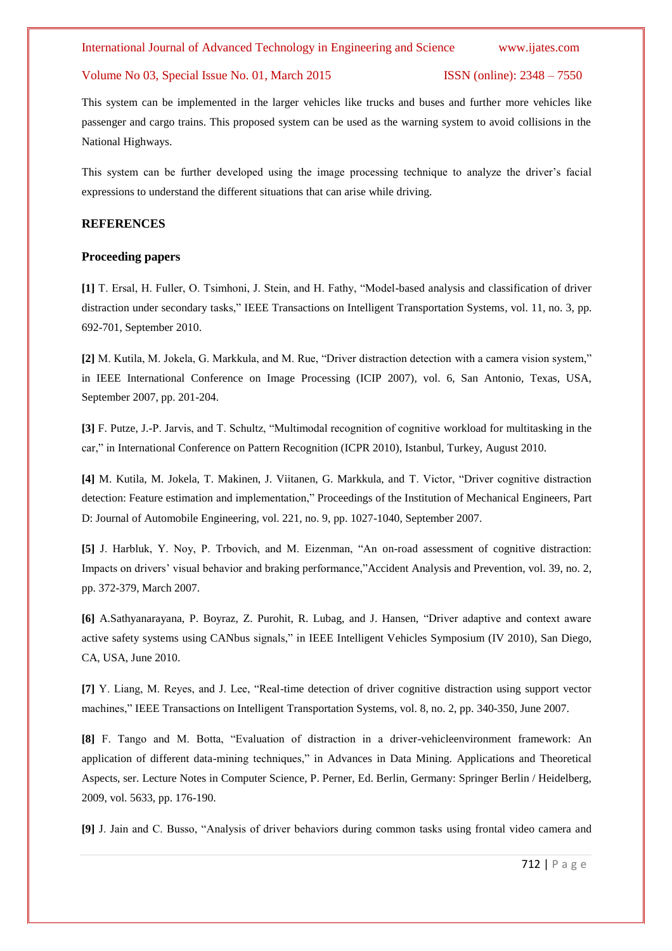This system can be implemented in the larger vehicles like trucks and buses and further more vehicles like passenger and cargo trains. This proposed system can be used as the warning system to avoid collisions in the National Highways.

This system can be further developed using the image processing technique to analyze the driver's facial expressions to understand the different situations that can arise while driving.

# **REFERENCES**

# **Proceeding papers**

**[1]** T. Ersal, H. Fuller, O. Tsimhoni, J. Stein, and H. Fathy, "Model-based analysis and classification of driver distraction under secondary tasks," IEEE Transactions on Intelligent Transportation Systems, vol. 11, no. 3, pp. 692-701, September 2010.

**[2]** M. Kutila, M. Jokela, G. Markkula, and M. Rue, "Driver distraction detection with a camera vision system," in IEEE International Conference on Image Processing (ICIP 2007), vol. 6, San Antonio, Texas, USA, September 2007, pp. 201-204.

**[3]** F. Putze, J.-P. Jarvis, and T. Schultz, "Multimodal recognition of cognitive workload for multitasking in the car," in International Conference on Pattern Recognition (ICPR 2010), Istanbul, Turkey, August 2010.

**[4]** M. Kutila, M. Jokela, T. Makinen, J. Viitanen, G. Markkula, and T. Victor, "Driver cognitive distraction detection: Feature estimation and implementation," Proceedings of the Institution of Mechanical Engineers, Part D: Journal of Automobile Engineering, vol. 221, no. 9, pp. 1027-1040, September 2007.

**[5]** J. Harbluk, Y. Noy, P. Trbovich, and M. Eizenman, "An on-road assessment of cognitive distraction: Impacts on drivers' visual behavior and braking performance,"Accident Analysis and Prevention, vol. 39, no. 2, pp. 372-379, March 2007.

**[6]** A.Sathyanarayana, P. Boyraz, Z. Purohit, R. Lubag, and J. Hansen, "Driver adaptive and context aware active safety systems using CANbus signals," in IEEE Intelligent Vehicles Symposium (IV 2010), San Diego, CA, USA, June 2010.

**[7]** Y. Liang, M. Reyes, and J. Lee, "Real-time detection of driver cognitive distraction using support vector machines," IEEE Transactions on Intelligent Transportation Systems, vol. 8, no. 2, pp. 340-350, June 2007.

**[8]** F. Tango and M. Botta, "Evaluation of distraction in a driver-vehicleenvironment framework: An application of different data-mining techniques," in Advances in Data Mining. Applications and Theoretical Aspects, ser. Lecture Notes in Computer Science, P. Perner, Ed. Berlin, Germany: Springer Berlin / Heidelberg, 2009, vol. 5633, pp. 176-190.

**[9]** J. Jain and C. Busso, "Analysis of driver behaviors during common tasks using frontal video camera and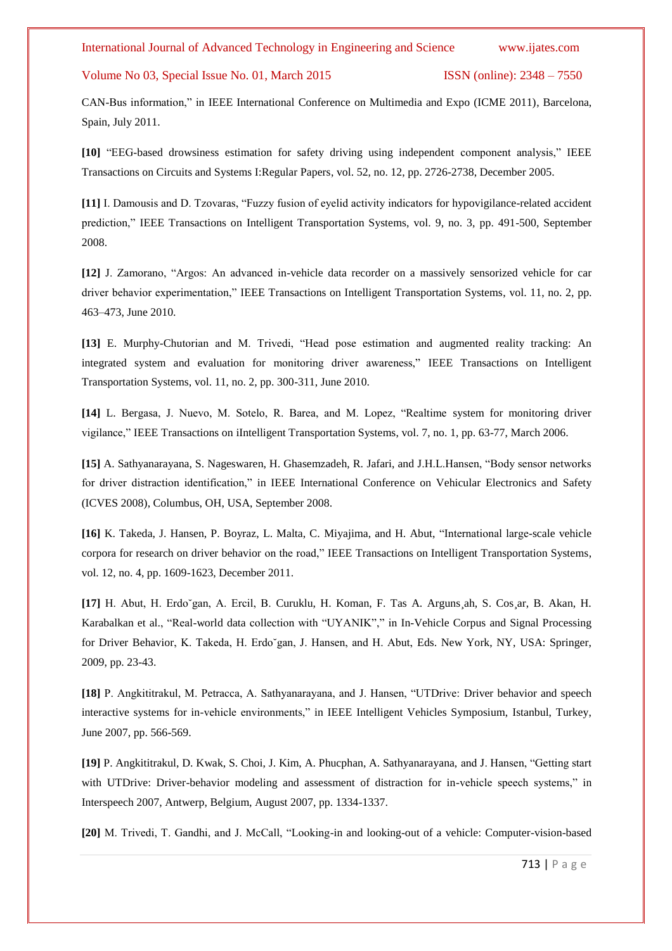CAN-Bus information," in IEEE International Conference on Multimedia and Expo (ICME 2011), Barcelona, Spain, July 2011.

**[10]** "EEG-based drowsiness estimation for safety driving using independent component analysis," IEEE Transactions on Circuits and Systems I:Regular Papers, vol. 52, no. 12, pp. 2726-2738, December 2005.

**[11]** I. Damousis and D. Tzovaras, "Fuzzy fusion of eyelid activity indicators for hypovigilance-related accident prediction," IEEE Transactions on Intelligent Transportation Systems, vol. 9, no. 3, pp. 491-500, September 2008.

**[12]** J. Zamorano, "Argos: An advanced in-vehicle data recorder on a massively sensorized vehicle for car driver behavior experimentation," IEEE Transactions on Intelligent Transportation Systems, vol. 11, no. 2, pp. 463–473, June 2010.

**[13]** E. Murphy-Chutorian and M. Trivedi, "Head pose estimation and augmented reality tracking: An integrated system and evaluation for monitoring driver awareness," IEEE Transactions on Intelligent Transportation Systems, vol. 11, no. 2, pp. 300-311, June 2010.

**[14]** L. Bergasa, J. Nuevo, M. Sotelo, R. Barea, and M. Lopez, "Realtime system for monitoring driver vigilance," IEEE Transactions on iIntelligent Transportation Systems, vol. 7, no. 1, pp. 63-77, March 2006.

**[15]** A. Sathyanarayana, S. Nageswaren, H. Ghasemzadeh, R. Jafari, and J.H.L.Hansen, "Body sensor networks for driver distraction identification," in IEEE International Conference on Vehicular Electronics and Safety (ICVES 2008), Columbus, OH, USA, September 2008.

**[16]** K. Takeda, J. Hansen, P. Boyraz, L. Malta, C. Miyajima, and H. Abut, "International large-scale vehicle corpora for research on driver behavior on the road," IEEE Transactions on Intelligent Transportation Systems, vol. 12, no. 4, pp. 1609-1623, December 2011.

**[17]** H. Abut, H. Erdo˘gan, A. Ercil, B. Curuklu, H. Koman, F. Tas A. Arguns¸ah, S. Cos¸ar, B. Akan, H. Karabalkan et al., "Real-world data collection with "UYANIK"," in In-Vehicle Corpus and Signal Processing for Driver Behavior, K. Takeda, H. Erdo˘gan, J. Hansen, and H. Abut, Eds. New York, NY, USA: Springer, 2009, pp. 23-43.

**[18]** P. Angkititrakul, M. Petracca, A. Sathyanarayana, and J. Hansen, "UTDrive: Driver behavior and speech interactive systems for in-vehicle environments," in IEEE Intelligent Vehicles Symposium, Istanbul, Turkey, June 2007, pp. 566-569.

**[19]** P. Angkititrakul, D. Kwak, S. Choi, J. Kim, A. Phucphan, A. Sathyanarayana, and J. Hansen, "Getting start with UTDrive: Driver-behavior modeling and assessment of distraction for in-vehicle speech systems," in Interspeech 2007, Antwerp, Belgium, August 2007, pp. 1334-1337.

**[20]** M. Trivedi, T. Gandhi, and J. McCall, "Looking-in and looking-out of a vehicle: Computer-vision-based